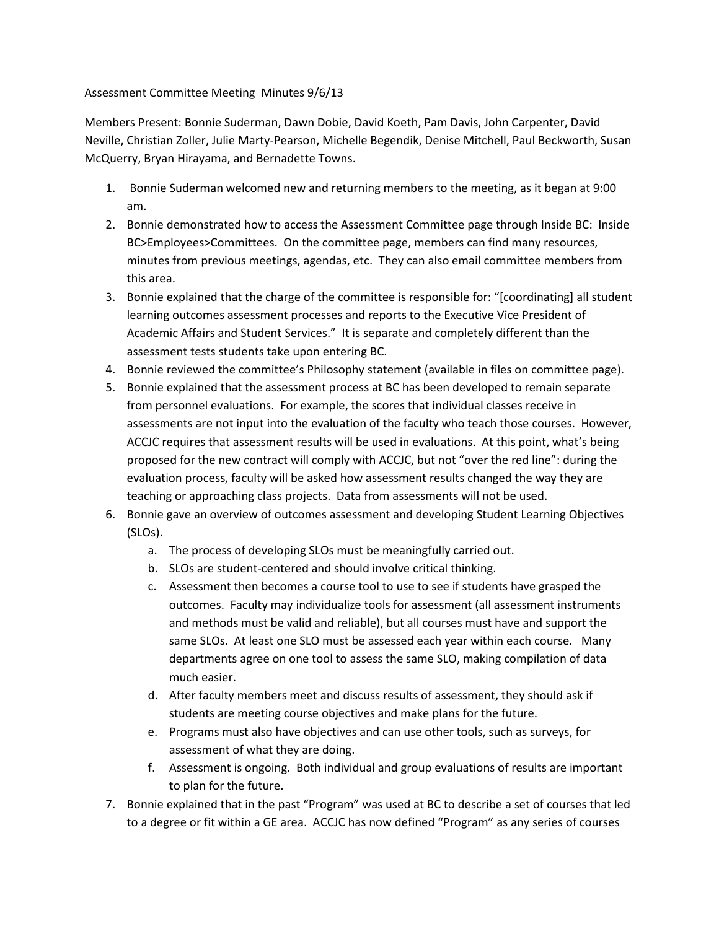## Assessment Committee Meeting Minutes 9/6/13

Members Present: Bonnie Suderman, Dawn Dobie, David Koeth, Pam Davis, John Carpenter, David Neville, Christian Zoller, Julie Marty-Pearson, Michelle Begendik, Denise Mitchell, Paul Beckworth, Susan McQuerry, Bryan Hirayama, and Bernadette Towns.

- 1. Bonnie Suderman welcomed new and returning members to the meeting, as it began at 9:00 am.
- 2. Bonnie demonstrated how to access the Assessment Committee page through Inside BC: Inside BC>Employees>Committees. On the committee page, members can find many resources, minutes from previous meetings, agendas, etc. They can also email committee members from this area.
- 3. Bonnie explained that the charge of the committee is responsible for: "[coordinating] all student learning outcomes assessment processes and reports to the Executive Vice President of Academic Affairs and Student Services." It is separate and completely different than the assessment tests students take upon entering BC.
- 4. Bonnie reviewed the committee's Philosophy statement (available in files on committee page).
- 5. Bonnie explained that the assessment process at BC has been developed to remain separate from personnel evaluations. For example, the scores that individual classes receive in assessments are not input into the evaluation of the faculty who teach those courses. However, ACCJC requires that assessment results will be used in evaluations. At this point, what's being proposed for the new contract will comply with ACCJC, but not "over the red line": during the evaluation process, faculty will be asked how assessment results changed the way they are teaching or approaching class projects. Data from assessments will not be used.
- 6. Bonnie gave an overview of outcomes assessment and developing Student Learning Objectives (SLOs).
	- a. The process of developing SLOs must be meaningfully carried out.
	- b. SLOs are student-centered and should involve critical thinking.
	- c. Assessment then becomes a course tool to use to see if students have grasped the outcomes. Faculty may individualize tools for assessment (all assessment instruments and methods must be valid and reliable), but all courses must have and support the same SLOs. At least one SLO must be assessed each year within each course. Many departments agree on one tool to assess the same SLO, making compilation of data much easier.
	- d. After faculty members meet and discuss results of assessment, they should ask if students are meeting course objectives and make plans for the future.
	- e. Programs must also have objectives and can use other tools, such as surveys, for assessment of what they are doing.
	- f. Assessment is ongoing. Both individual and group evaluations of results are important to plan for the future.
- 7. Bonnie explained that in the past "Program" was used at BC to describe a set of courses that led to a degree or fit within a GE area. ACCJC has now defined "Program" as any series of courses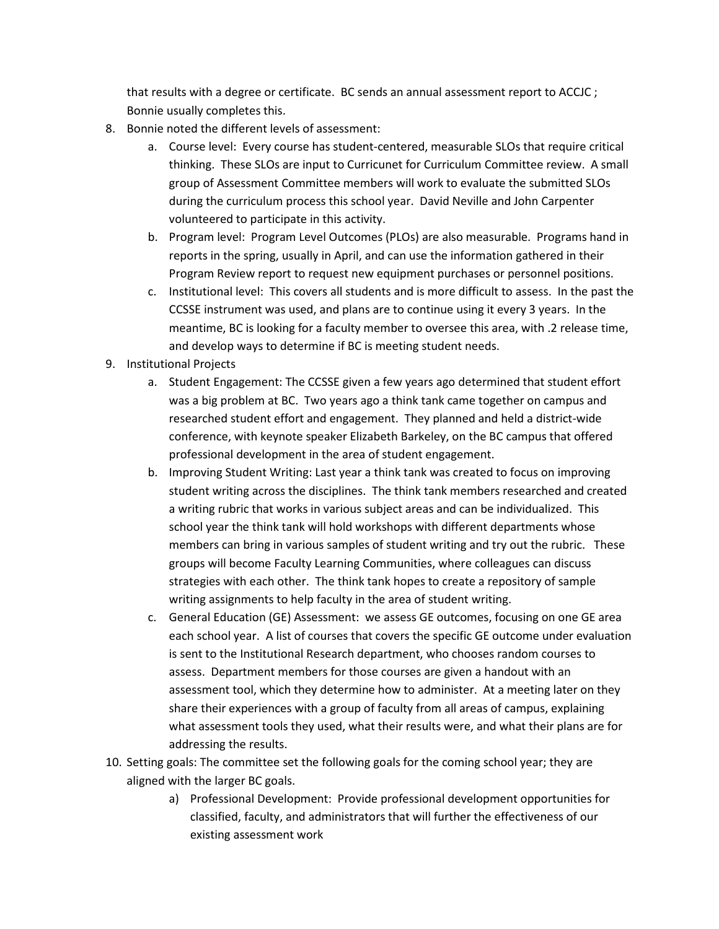that results with a degree or certificate. BC sends an annual assessment report to ACCJC ; Bonnie usually completes this.

- 8. Bonnie noted the different levels of assessment:
	- a. Course level: Every course has student-centered, measurable SLOs that require critical thinking. These SLOs are input to Curricunet for Curriculum Committee review. A small group of Assessment Committee members will work to evaluate the submitted SLOs during the curriculum process this school year. David Neville and John Carpenter volunteered to participate in this activity.
	- b. Program level: Program Level Outcomes (PLOs) are also measurable. Programs hand in reports in the spring, usually in April, and can use the information gathered in their Program Review report to request new equipment purchases or personnel positions.
	- c. Institutional level: This covers all students and is more difficult to assess. In the past the CCSSE instrument was used, and plans are to continue using it every 3 years. In the meantime, BC is looking for a faculty member to oversee this area, with .2 release time, and develop ways to determine if BC is meeting student needs.
- 9. Institutional Projects
	- a. Student Engagement: The CCSSE given a few years ago determined that student effort was a big problem at BC. Two years ago a think tank came together on campus and researched student effort and engagement. They planned and held a district-wide conference, with keynote speaker Elizabeth Barkeley, on the BC campus that offered professional development in the area of student engagement.
	- b. Improving Student Writing: Last year a think tank was created to focus on improving student writing across the disciplines. The think tank members researched and created a writing rubric that works in various subject areas and can be individualized. This school year the think tank will hold workshops with different departments whose members can bring in various samples of student writing and try out the rubric. These groups will become Faculty Learning Communities, where colleagues can discuss strategies with each other. The think tank hopes to create a repository of sample writing assignments to help faculty in the area of student writing.
	- c. General Education (GE) Assessment: we assess GE outcomes, focusing on one GE area each school year. A list of courses that covers the specific GE outcome under evaluation is sent to the Institutional Research department, who chooses random courses to assess. Department members for those courses are given a handout with an assessment tool, which they determine how to administer. At a meeting later on they share their experiences with a group of faculty from all areas of campus, explaining what assessment tools they used, what their results were, and what their plans are for addressing the results.
- 10. Setting goals: The committee set the following goals for the coming school year; they are aligned with the larger BC goals.
	- a) Professional Development: Provide professional development opportunities for classified, faculty, and administrators that will further the effectiveness of our existing assessment work